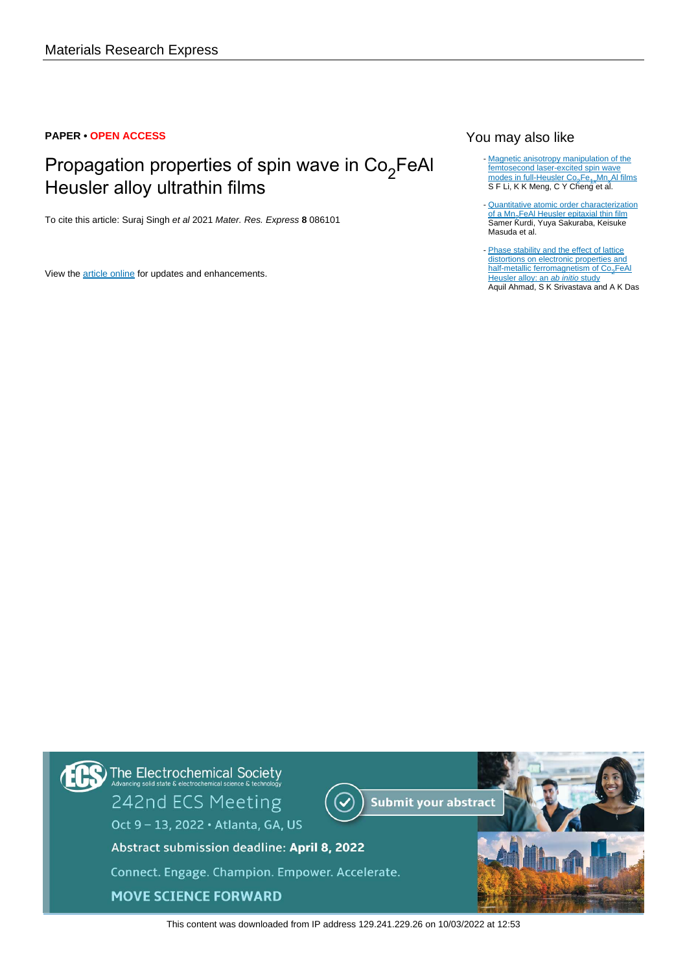# **PAPER • OPEN ACCESS**

# Propagation properties of spin wave in Co<sub>2</sub>FeAl Heusler alloy ultrathin films

To cite this article: Suraj Singh et al 2021 Mater. Res. Express **8** 086101

View the [article online](https://doi.org/10.1088/2053-1591/ac1d66) for updates and enhancements.

# You may also like

- [Magnetic anisotropy manipulation of the](/article/10.1088/1361-648X/aaea4a) [femtosecond laser-excited spin wave](/article/10.1088/1361-648X/aaea4a) [modes in full-Heusler Co](/article/10.1088/1361-648X/aaea4a)<sub>2</sub>[Fe](/article/10.1088/1361-648X/aaea4a)<sub>1x</sub>[Mn](/article/10.1088/1361-648X/aaea4a)<sub>x</sub>[Al films](/article/10.1088/1361-648X/aaea4a) S F Li, K K Meng, C Y Cheng et al.
- [Quantitative atomic order characterization](/article/10.1088/1361-6463/ac4e32) [of a Mn](/article/10.1088/1361-6463/ac4e32)<sub>2</sub>[FeAl Heusler epitaxial thin film](/article/10.1088/1361-6463/ac4e32) Samer Kurdi, Yuya Sakuraba, Keisuke Masuda et al. -
- [Phase stability and the effect of lattice](/article/10.1088/1361-648X/ab9f4f) [distortions on electronic properties and](/article/10.1088/1361-648X/ab9f4f) [half-metallic ferromagnetism of Co](/article/10.1088/1361-648X/ab9f4f)<sub>2</sub>[FeAl](/article/10.1088/1361-648X/ab9f4f) [Heusler alloy: an](/article/10.1088/1361-648X/ab9f4f) ab initi[o](/article/10.1088/1361-648X/ab9f4f) [study](/article/10.1088/1361-648X/ab9f4f) Aquil Ahmad, S K Srivastava and A K Das



This content was downloaded from IP address 129.241.229.26 on 10/03/2022 at 12:53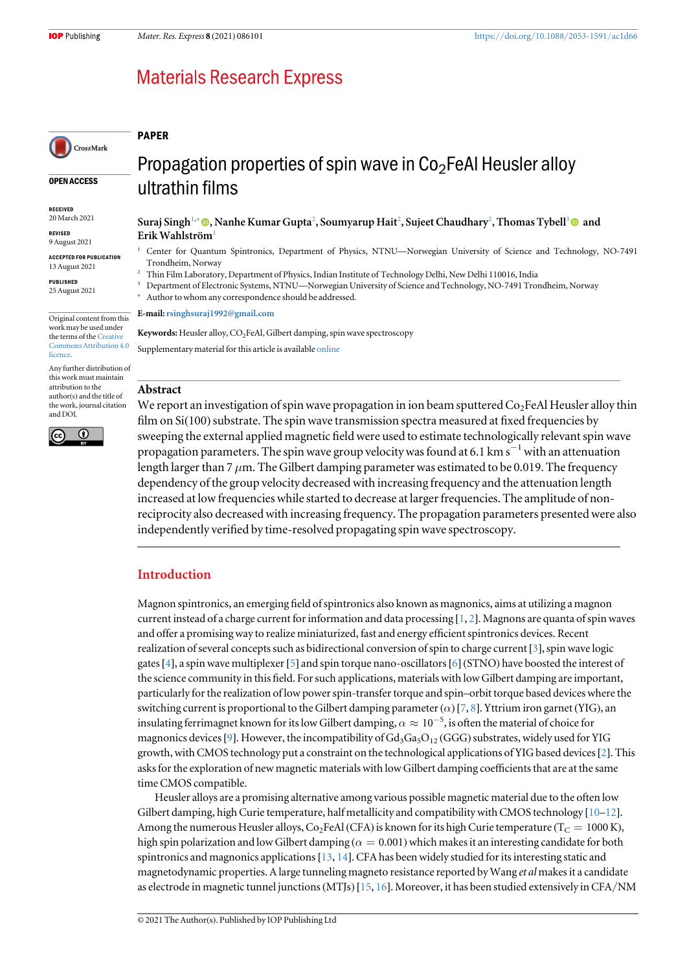# **Materials Research Express**

#### PAPER

#### OPEN ACCESS

CrossMark

RECEIVED 20 March 2021

REVISED 9 August 2021

ACCEPTED FOR PUBLICATION 13 August 2021

PUBLISHED 25 August 2021

Original content from this work may be used under the terms of the [Creative](http://creativecommons.org/licenses/by/4.0) [Commons Attribution 4.0](http://creativecommons.org/licenses/by/4.0) **licence** 

Any further distribution of this work must maintain attribution to the author(s) and the title of the work, journal citation and DOI.



ultrathin films

Suraj Singh1,<sup>∗</sup> [,](https://orcid.org/0000-0001-9113-0000) Nanhe Kumar Gupta<sup>2</sup> , Soumyarup Hait<sup>2</sup> , Sujeet Chaudhary<sup>2</sup> , Thomas Tybell<sup>3</sup> and Erik Wahlström<sup>1</sup>

- <sup>1</sup> Center for Quantum Spintronics, Department of Physics, NTNU—Norwegian University of Science and Technology, NO-7491 Trondheim, Norway
- <sup>2</sup> Thin Film Laboratory, Department of Physics, Indian Institute of Technology Delhi, New Delhi 110016, India
- <sup>3</sup> Department of Electronic Systems, NTNU—Norwegian University of Science and Technology, NO-7491 Trondheim, Norway
- Author to whom any correspondence should be addressed.

E-mail:[rsinghsuraj1992@gmail.com](mailto:rsinghsuraj1992@gmail.com)

Keywords: Heusler alloy, CO<sub>2</sub>FeAl, Gilbert damping, spin wave spectroscopy Supplementary material for this article is available [online](https://doi.org/10.1088/2053-1591/ac1d66)

### Abstract

We report an investigation of spin wave propagation in ion beam sputtered  $Co_2FeAl$  Heusler alloy thin film on  $Si(100)$  substrate. The spin wave transmission spectra measured at fixed frequencies by sweeping the external applied magnetic field were used to estimate technologically relevant spin wave propagation parameters. The spin wave group velocity was found at 6.1 km s<sup> $-1$ </sup> with an attenuation length larger than 7  $\mu$ m. The Gilbert damping parameter was estimated to be 0.019. The frequency dependency of the group velocity decreased with increasing frequency and the attenuation length increased at low frequencies while started to decrease at larger frequencies. The amplitude of nonreciprocity also decreased with increasing frequency. The propagation parameters presented were also independently verified by time-resolved propagating spin wave spectroscopy.

# Introduction

Magnon spintronics, an emerging field of spintronics also known as magnonics, aims at utilizing a magnon current instead of a charge current for information and data processing [[1,](#page-6-0) [2](#page-6-0)]. Magnons are quanta of spin waves and offer a promising way to realize miniaturized, fast and energy efficient spintronics devices. Recent realization of several concepts such as bidirectional conversion of spin to charge current [[3](#page-6-0)], spin wave logic gates[[4](#page-6-0)], a spin wave multiplexer[[5](#page-6-0)] and spin torque nano-oscillators[[6](#page-6-0)] (STNO) have boosted the interest of the science community in this field. For such applications, materials with low Gilbert damping are important, particularly for the realization of low power spin-transfer torque and spin–orbit torque based devices where the switching current is proportional to the Gilbert damping parameter ( $\alpha$ ) [[7,](#page-6-0) [8](#page-6-0)]. Yttrium iron garnet (YIG), an insulating ferrimagnet known for its low Gilbert damping,  $\alpha \approx 10^{-5}$ , is often the material of choice for magnonics devices [[9](#page-6-0)]. However, the incompatibility of  $Gd_3Ga_5O_{12}$  (GGG) substrates, widely used for YIG growth, with CMOS technology put a constraint on the technological applications of YIG based devices[[2](#page-6-0)]. This asks for the exploration of new magnetic materials with low Gilbert damping coefficients that are at the same time CMOS compatible.

Heusler alloys are a promising alternative among various possible magnetic material due to the often low Gilbert damping, high Curie temperature, half metallicity and compatibility with CMOS technology [[10](#page-6-0)–[12](#page-7-0)]. Among the numerous Heusler alloys, Co<sub>2</sub>FeAl (CFA) is known for its high Curie temperature (T<sub>C</sub> = 1000 K), high spin polarization and low Gilbert damping ( $\alpha = 0.001$ ) which makes it an interesting candidate for both spintronics and magnonics applications [[13](#page-7-0), [14](#page-7-0)]. CFA has been widely studied for its interesting static and magnetodynamic properties. A large tunneling magneto resistance reported by Wang et al makes it a candidate as electrode in magnetic tunnel junctions(MTJs) [[15,](#page-7-0) [16](#page-7-0)]. Moreover, it has been studied extensively in CFA/NM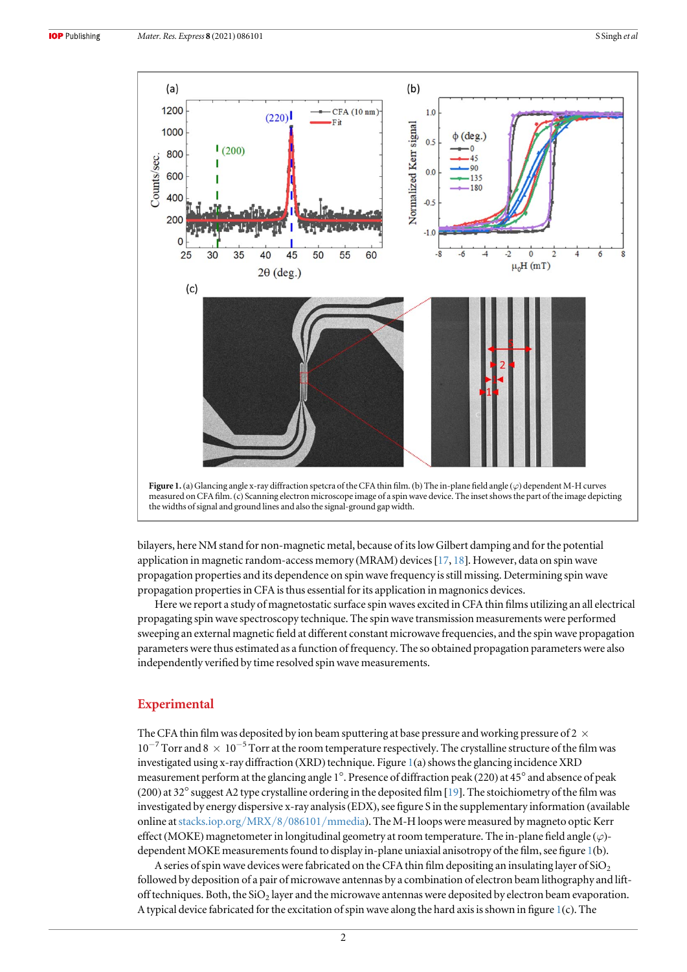<span id="page-2-0"></span>

bilayers, here NM stand for non-magnetic metal, because of its low Gilbert damping and for the potential application in magnetic random-access memory (MRAM) devices[[17](#page-7-0), [18](#page-7-0)]. However, data on spin wave propagation properties and its dependence on spin wave frequency is still missing. Determining spin wave propagation properties in CFA is thus essential for its application in magnonics devices.

Here we report a study of magnetostatic surface spin waves excited in CFA thin films utilizing an all electrical propagating spin wave spectroscopy technique. The spin wave transmission measurements were performed sweeping an external magnetic field at different constant microwave frequencies, and the spin wave propagation parameters were thus estimated as a function of frequency. The so obtained propagation parameters were also independently verified by time resolved spin wave measurements.

# Experimental

The CFA thin film was deposited by ion beam sputtering at base pressure and working pressure of 2  $\times$  $10^{-7}$  Torr and  $8 \times 10^{-5}$  Torr at the room temperature respectively. The crystalline structure of the film was investigated using x-ray diffraction (XRD) technique. Figure 1(a) shows the glancing incidence XRD measurement perform at the glancing angle 1°. Presence of diffraction peak (220) at 45° and absence of peak (200) at 32°suggest A2 type crystalline ordering in the deposited film [[19](#page-7-0)]. The stoichiometry of the film was investigated by energy dispersive x-ray analysis(EDX), see figure S in the supplementary information (available online at[stacks.iop.org](http://stacks.iop.org/MRX/8/086101/mmedia)/MRX/8/086101/mmedia). The M-H loops were measured by magneto optic Kerr effect (MOKE) magnetometer in longitudinal geometry at room temperature. The in-plane field angle  $(\varphi)$ dependent MOKE measurements found to display in-plane uniaxial anisotropy of the film, see figure 1(b).

A series of spin wave devices were fabricated on the CFA thin film depositing an insulating layer of  $SiO<sub>2</sub>$ followed by deposition of a pair of microwave antennas by a combination of electron beam lithography and liftoff techniques. Both, the  $SiO<sub>2</sub>$  layer and the microwave antennas were deposited by electron beam evaporation. A typical device fabricated for the excitation of spin wave along the hard axis is shown in figure 1(c). The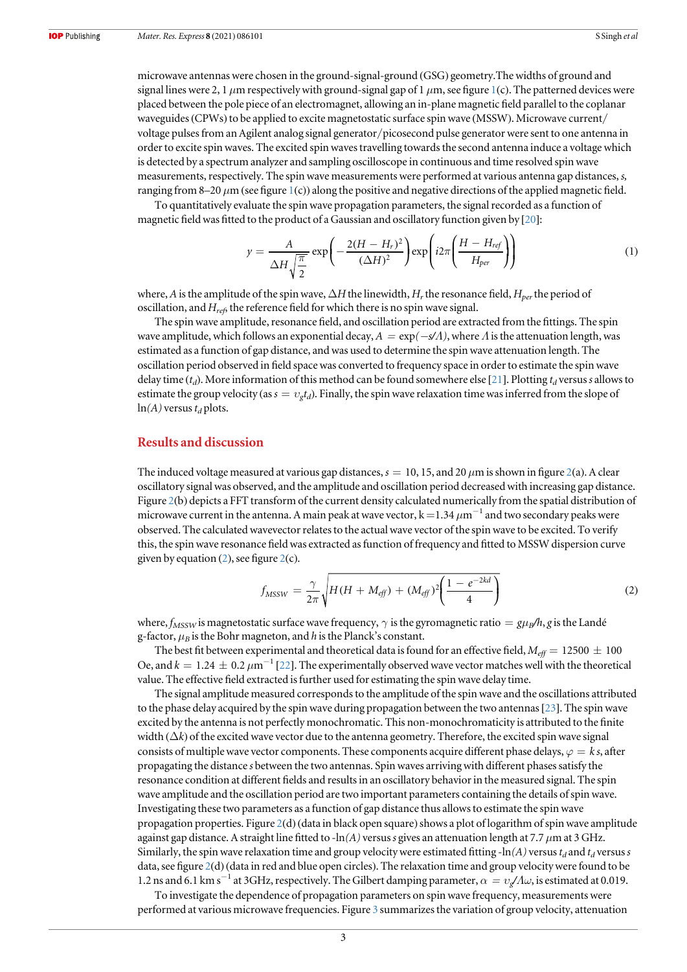microwave antennas were chosen in the ground-signal-ground (GSG) geometry.The widths of ground and signal lines were 2, [1](#page-2-0)  $\mu$ m respectively with ground-signal gap of 1  $\mu$ m, see figure 1(c). The patterned devices were placed between the pole piece of an electromagnet, allowing an in-plane magnetic field parallel to the coplanar waveguides(CPWs) to be applied to excite magnetostatic surface spin wave (MSSW). Microwave current/ voltage pulses from an Agilent analog signal generator/picosecond pulse generator were sent to one antenna in order to excite spin waves. The excited spin waves travelling towards the second antenna induce a voltage which is detected by a spectrum analyzer and sampling oscilloscope in continuous and time resolved spin wave measurements, respectively. The spin wave measurements were performed at various antenna gap distances, s, ranging from 8–20  $\mu$ m (see figure [1](#page-2-0)(c)) along the positive and negative directions of the applied magnetic field.

To quantitatively evaluate the spin wave propagation parameters, the signal recorded as a function of magnetic field was fitted to the product of a Gaussian and oscillatory function given by [[20](#page-7-0)]:

$$
y = \frac{A}{\Delta H \sqrt{\frac{\pi}{2}}} \exp\left(-\frac{2(H - H_r)^2}{(\Delta H)^2}\right) \exp\left(i2\pi \left(\frac{H - H_{ref}}{H_{per}}\right)\right) \tag{1}
$$

where, A is the amplitude of the spin wave,  $\Delta H$  the linewidth,  $H_r$  the resonance field,  $H_{per}$  the period of oscillation, and  $H_{ref}$  the reference field for which there is no spin wave signal.

The spin wave amplitude, resonance field, and oscillation period are extracted from the fittings. The spin wave amplitude, which follows an exponential decay,  $A = \exp(-s/A)$ , where A is the attenuation length, was estimated as a function of gap distance, and was used to determine the spin wave attenuation length. The oscillation period observed in field space was converted to frequency space in order to estimate the spin wave delay time ( $t_d$ ). More information of this method can be found somewhere else [[21](#page-7-0)]. Plotting  $t_d$  versus s allows to estimate the group velocity (as  $s = v_{\sigma}t_d$ ). Finally, the spin wave relaxation time was inferred from the slope of  $ln(A)$  versus  $t_d$  plots.

#### Results and discussion

The induced voltage measured at various gap distances,  $s = 10, 15$ , and [2](#page-4-0)0  $\mu$ m is shown in figure 2(a). A clear oscillatory signal was observed, and the amplitude and oscillation period decreased with increasing gap distance. Figure [2](#page-4-0)(b) depicts a FFT transform of the current density calculated numerically from the spatial distribution of microwave current in the antenna. A main peak at wave vector,  $k = 1.34 \ \mu m^{-1}$  and two secondary peaks were observed. The calculated wavevector relates to the actual wave vector of the spin wave to be excited. To verify this, the spin wave resonance field was extracted as function of frequency and fitted to MSSW dispersion curve given by equation ([2](#page-4-0)), see figure  $2(c)$ .

$$
f_{MSSW} = \frac{\gamma}{2\pi} \sqrt{H(H + M_{\text{eff}}) + (M_{\text{eff}})^2 \left(\frac{1 - e^{-2kd}}{4}\right)}
$$
(2)

where,  $f_{MSSW}$  is magnetostatic surface wave frequency,  $\gamma$  is the gyromagnetic ratio  $= g\mu_B/h$ , g is the Landé g-factor,  $\mu_B$  is the Bohr magneton, and h is the Planck's constant.

The best fit between experimental and theoretical data is found for an effective field,  $M_{\text{eff}} = 12500 \pm 100$ Oe, and  $k = 1.24 \pm 0.2 \ \mu m^{-1}$  [[22](#page-7-0)]. The experimentally observed wave vector matches well with the theoretical value. The effective field extracted is further used for estimating the spin wave delay time.

The signal amplitude measured corresponds to the amplitude of the spin wave and the oscillations attributed to the phase delay acquired by the spin wave during propagation between the two antennas[[23](#page-7-0)]. The spin wave excited by the antenna is not perfectly monochromatic. This non-monochromaticity is attributed to the finite width ( $\Delta k$ ) of the excited wave vector due to the antenna geometry. Therefore, the excited spin wave signal consists of multiple wave vector components. These components acquire different phase delays,  $\varphi = k s$ , after propagating the distance s between the two antennas. Spin waves arriving with different phases satisfy the resonance condition at different fields and results in an oscillatory behavior in the measured signal. The spin wave amplitude and the oscillation period are two important parameters containing the details of spin wave. Investigating these two parameters as a function of gap distance thus allows to estimate the spin wave propagation properties. Figure  $2(d)$  $2(d)$  (data in black open square) shows a plot of logarithm of spin wave amplitude against gap distance. A straight line fitted to -ln(A) versus s gives an attenuation length at 7.7  $\mu$ m at 3 GHz. Similarly, the spin wave relaxation time and group velocity were estimated fitting -ln(A) versus  $t_d$  and  $t_d$  versus s data, see figure [2](#page-4-0)(d) (data in red and blue open circles). The relaxation time and group velocity were found to be 1.2 ns and 6.1 km s<sup>−1</sup> at 3GHz, respectively. The Gilbert damping parameter,  $\alpha = v \sqrt{v} \sqrt{a}$ , is estimated at 0.019.

To investigate the dependence of propagation parameters on spin wave frequency, measurements were performed at various microwave frequencies. Figure [3](#page-5-0) summarizes the variation of group velocity, attenuation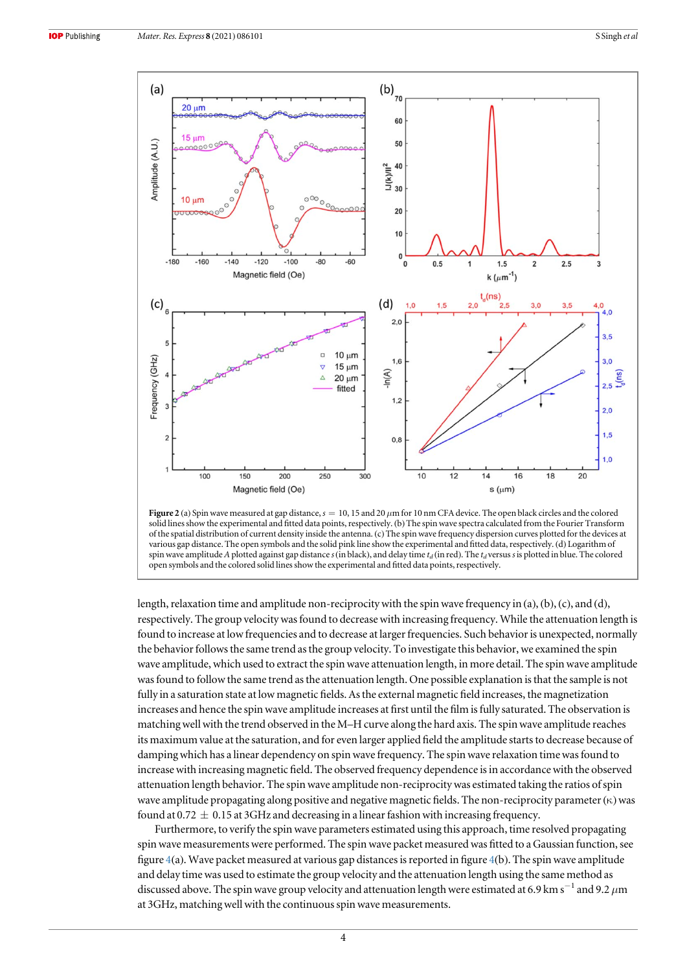<span id="page-4-0"></span>



length, relaxation time and amplitude non-reciprocity with the spin wave frequency in (a), (b),(c), and (d), respectively. The group velocity was found to decrease with increasing frequency. While the attenuation length is found to increase at low frequencies and to decrease at larger frequencies. Such behavior is unexpected, normally the behavior follows the same trend as the group velocity. To investigate this behavior, we examined the spin wave amplitude, which used to extract the spin wave attenuation length, in more detail. The spin wave amplitude was found to follow the same trend as the attenuation length. One possible explanation is that the sample is not fully in a saturation state at low magnetic fields. As the external magnetic field increases, the magnetization increases and hence the spin wave amplitude increases at first until the film is fully saturated. The observation is matching well with the trend observed in the M–H curve along the hard axis. The spin wave amplitude reaches its maximum value at the saturation, and for even larger applied field the amplitude starts to decrease because of damping which has a linear dependency on spin wave frequency. The spin wave relaxation time was found to increase with increasing magnetic field. The observed frequency dependence is in accordance with the observed attenuation length behavior. The spin wave amplitude non-reciprocity was estimated taking the ratios of spin wave amplitude propagating along positive and negative magnetic fields. The non-reciprocity parameter  $(\kappa)$  was found at 0.72  $\pm$  0.15 at 3GHz and decreasing in a linear fashion with increasing frequency.

Furthermore, to verify the spin wave parameters estimated using this approach, time resolved propagating spin wave measurements were performed. The spin wave packet measured was fitted to a Gaussian function, see figure [4](#page-5-0)(a). Wave packet measured at various gap distances is reported in figure [4](#page-5-0)(b). The spin wave amplitude and delay time was used to estimate the group velocity and the attenuation length using the same method as discussed above. The spin wave group velocity and attenuation length were estimated at 6.9 km s<sup>−1</sup> and 9.2  $\mu$ m at 3GHz, matching well with the continuous spin wave measurements.

4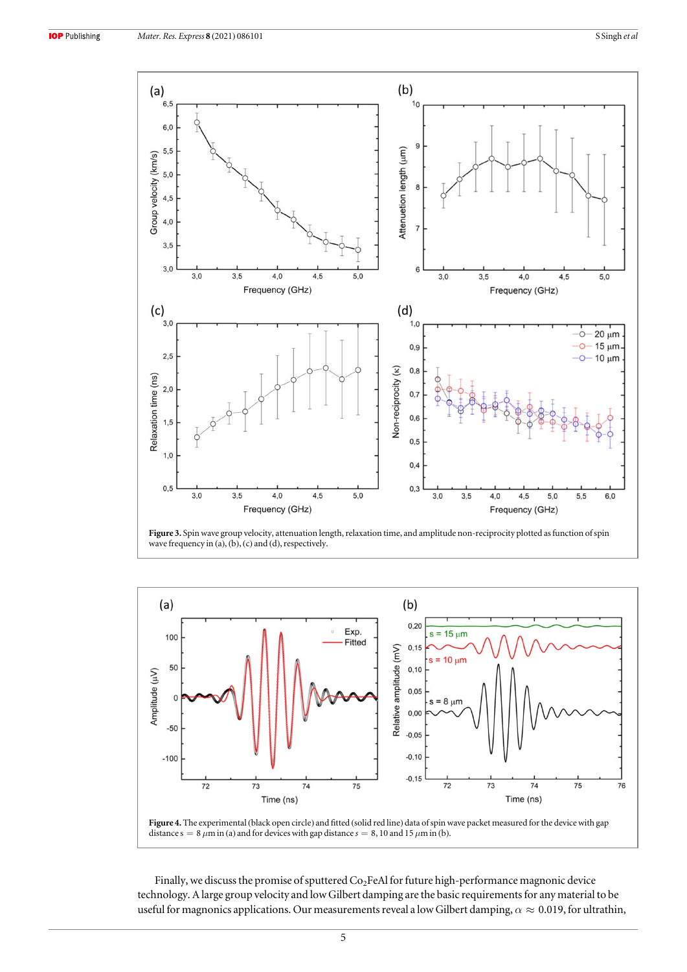<span id="page-5-0"></span>

Figure 3. Spin wave group velocity, attenuation length, relaxation time, and amplitude non-reciprocity plotted as function of spin wave frequency in (a), (b), (c) and (d), respectively.





Finally, we discuss the promise of sputtered  $Co<sub>2</sub>FeAl$  for future high-performance magnonic device technology. A large group velocity and low Gilbert damping are the basic requirements for any material to be useful for magnonics applications. Our measurements reveal a low Gilbert damping,  $\alpha \approx 0.019$ , for ultrathin,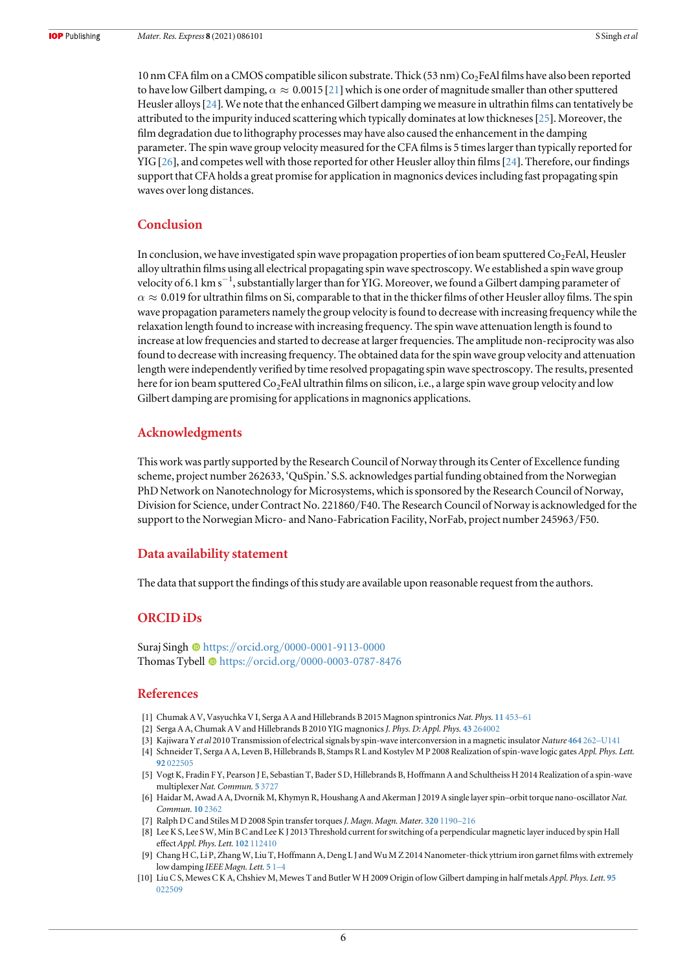<span id="page-6-0"></span>10 nm CFA film on a CMOS compatible silicon substrate. Thick (53 nm) Co<sub>2</sub>FeAl films have also been reported to have low Gilbert damping,  $\alpha \approx 0.0015$  [[21](#page-7-0)] which is one order of magnitude smaller than other sputtered Heusler alloys[[24](#page-7-0)]. We note that the enhanced Gilbert damping we measure in ultrathin films can tentatively be attributed to the impurity induced scattering which typically dominates at low thickneses[[25](#page-7-0)]. Moreover, the film degradation due to lithography processes may have also caused the enhancement in the damping parameter. The spin wave group velocity measured for the CFA films is 5 times larger than typically reported for YIG[[26](#page-7-0)], and competes well with those reported for other Heusler alloy thin films[[24](#page-7-0)]. Therefore, our findings support that CFA holds a great promise for application in magnonics devices including fast propagating spin waves over long distances.

## Conclusion

In conclusion, we have investigated spin wave propagation properties of ion beam sputtered  $Co<sub>2</sub>FeAl$ , Heusler alloy ultrathin films using all electrical propagating spin wave spectroscopy. We established a spin wave group velocity of 6.1 km s<sup>-1</sup>, substantially larger than for YIG. Moreover, we found a Gilbert damping parameter of  $\alpha \approx 0.019$  for ultrathin films on Si, comparable to that in the thicker films of other Heusler alloy films. The spin wave propagation parameters namely the group velocity is found to decrease with increasing frequency while the relaxation length found to increase with increasing frequency. The spin wave attenuation length is found to increase at low frequencies and started to decrease at larger frequencies. The amplitude non-reciprocity was also found to decrease with increasing frequency. The obtained data for the spin wave group velocity and attenuation length were independently verified by time resolved propagating spin wave spectroscopy. The results, presented here for ion beam sputtered Co<sub>2</sub>FeAl ultrathin films on silicon, i.e., a large spin wave group velocity and low Gilbert damping are promising for applications in magnonics applications.

#### Acknowledgments

This work was partly supported by the Research Council of Norway through its Center of Excellence funding scheme, project number 262633, 'QuSpin.' S.S. acknowledges partial funding obtained from the Norwegian PhD Network on Nanotechnology for Microsystems, which is sponsored by the Research Council of Norway, Division for Science, under Contract No. 221860/F40. The Research Council of Norway is acknowledged for the support to the Norwegian Micro- and Nano-Fabrication Facility, NorFab, project number 245963/F50.

### Data availability statement

The data that support the findings of this study are available upon reasonable request from the authors.

# ORCID iDs

Suraj Singh [https:](https://orcid.org/0000-0001-9113-0000)//orcid.org/[0000-0001-9113-0000](https://orcid.org/0000-0001-9113-0000) Thomas Tybell @ [https:](https://orcid.org/0000-0003-0787-8476)//orcid.org/[0000-0003-0787-8476](https://orcid.org/0000-0003-0787-8476)

#### References

- [1] Chumak A V, Vasyuchka V I, Serga A A and Hillebrands B 2015 Magnon spintronics Nat. Phys. 11 [453](https://doi.org/10.1038/nphys3347)–61
- [2] Serga A A, Chumak A V and Hillebrands B 2010 YIG magnonicsJ. Phys. D: Appl. Phys. 43 [264002](https://doi.org/10.1088/0022-3727/43/26/264002)
- [3] Kajiwara Y et al 2010 Transmission of electrical signals by spin-wave interconversion in a magnetic insulator Nature 464 262–[U141](https://doi.org/10.1038/nature08876)
- [4] Schneider T, Serga A A, Leven B, Hillebrands B, Stamps R L and Kostylev M P 2008 Realization of spin-wave logic gates Appl. Phys. Lett. 92 [022505](https://doi.org/10.1063/1.2834714)
- [5] Vogt K, Fradin F Y, Pearson J E, Sebastian T, Bader S D, Hillebrands B, Hoffmann A and Schultheiss H 2014 Realization of a spin-wave multiplexer Nat. Commun. 5 [3727](https://doi.org/10.1038/ncomms4727)
- [6] Haidar M, Awad A A, Dvornik M, Khymyn R, Houshang A and Akerman J 2019 A single layer spin–orbit torque nano-oscillator Nat. Commun. 10 [2362](https://doi.org/10.1038/s41467-019-10120-4)
- [7] Ralph D C and Stiles M D 2008 Spin transfer torques J. Magn. Magn. Mater. 320 [1190](https://doi.org/10.1016/j.jmmm.2007.12.019)-216
- [8] Lee K S, Lee S W, Min B C and Lee K J 2013 Threshold current for switching of a perpendicular magnetic layer induced by spin Hall effect Appl. Phys. Lett. 102 [112410](https://doi.org/10.1063/1.4798288)
- [9] Chang H C, Li P, Zhang W, Liu T, Hoffmann A, Deng L J and Wu M Z 2014 Nanometer-thick yttrium iron garnet films with extremely low damping IEEE Magn. Lett. [5](https://doi.org/10.1109/LMAG.2014.2350958) 1[–](https://doi.org/10.1109/LMAG.2014.2350958)4
- [10] Liu C S, Mewes C K A, Chshiev M, Mewes T and Butler W H 2009 Origin of low Gilbert damping in half metals Appl. Phys. Lett. [95](https://doi.org/10.1063/1.3157267) [022509](https://doi.org/10.1063/1.3157267)